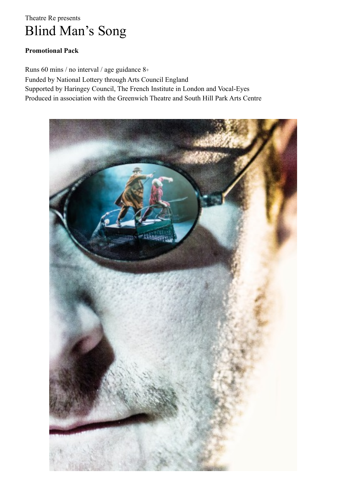### Theatre Re presents Blind Man's Song

#### **Promotional Pack**

Runs 60 mins / no interval / age guidance 8+ Funded by National Lottery through Arts Council England Supported by Haringey Council, The French Institute in London and Vocal-Eyes Produced in association with the Greenwich Theatre and South Hill Park Arts Centre

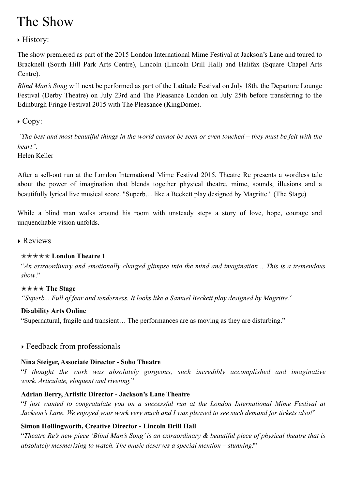# The Show

‣ History:

The show premiered as part of the 2015 London International Mime Festival at Jackson's Lane and toured to Bracknell (South Hill Park Arts Centre), Lincoln (Lincoln Drill Hall) and Halifax (Square Chapel Arts Centre).

*Blind Man's Song* will next be performed as part of the Latitude Festival on July 18th, the Departure Lounge Festival (Derby Theatre) on July 23rd and The Pleasance London on July 25th before transferring to the Edinburgh Fringe Festival 2015 with The Pleasance (KingDome).

‣ Copy:

*"The best and most beautiful things in the world cannot be seen or even touched – they must be felt with the heart".*

Helen Keller

After a sell-out run at the London International Mime Festival 2015, Theatre Re presents a wordless tale about the power of imagination that blends together physical theatre, mime, sounds, illusions and a beautifully lyrical live musical score. "Superb… like a Beckett play designed by Magritte." (The Stage)

While a blind man walks around his room with unsteady steps a story of love, hope, courage and unquenchable vision unfolds.

‣ Reviews

#### ✭✭✭✭✭ **London Theatre 1**

"*An extraordinary and emotionally charged glimpse into the mind and imagination… This is a tremendous show*."

#### ✭✭✭✭ **The Stage**

*"Superb... Full of fear and tenderness. It looks like a Samuel Beckett play designed by Magritte.*"

#### **Disability Arts Online**

"Supernatural, fragile and transient… The performances are as moving as they are disturbing."

#### ‣ Feedback from professionals

#### **Nina Steiger, Associate Director - Soho Theatre**

"*I thought the work was absolutely gorgeous, such incredibly accomplished and imaginative work. Articulate, eloquent and riveting.*"

#### **Adrian Berry, Artistic Director - Jackson's Lane Theatre**

"*I just wanted to congratulate you on a successful run at the London International Mime Festival at Jackson's Lane. We enjoyed your work very much and I was pleased to see such demand for tickets also!*"

#### **Simon Hollingworth, Creative Director - Lincoln Drill Hall**

"*Theatre Re's new piece 'Blind Man's Song' is an extraordinary & beautiful piece of physical theatre that is absolutely mesmerising to watch. The music deserves a special mention – stunning!*"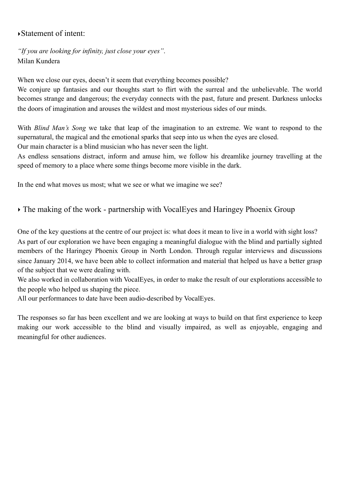#### ‣Statement of intent:

*"If you are looking for infinity, just close your eyes"*. Milan Kundera

When we close our eyes, doesn't it seem that everything becomes possible?

We conjure up fantasies and our thoughts start to flirt with the surreal and the unbelievable. The world becomes strange and dangerous; the everyday connects with the past, future and present. Darkness unlocks the doors of imagination and arouses the wildest and most mysterious sides of our minds.

With *Blind Man's Song* we take that leap of the imagination to an extreme. We want to respond to the supernatural, the magical and the emotional sparks that seep into us when the eyes are closed. Our main character is a blind musician who has never seen the light.

As endless sensations distract, inform and amuse him, we follow his dreamlike journey travelling at the speed of memory to a place where some things become more visible in the dark.

In the end what moves us most; what we see or what we imagine we see?

#### ‣ The making of the work - partnership with VocalEyes and Haringey Phoenix Group

One of the key questions at the centre of our project is: what does it mean to live in a world with sight loss? As part of our exploration we have been engaging a meaningful dialogue with the blind and partially sighted members of the Haringey Phoenix Group in North London. Through regular interviews and discussions since January 2014, we have been able to collect information and material that helped us have a better grasp of the subject that we were dealing with.

We also worked in collaboration with VocalEyes, in order to make the result of our explorations accessible to the people who helped us shaping the piece.

All our performances to date have been audio-described by VocalEyes.

The responses so far has been excellent and we are looking at ways to build on that first experience to keep making our work accessible to the blind and visually impaired, as well as enjoyable, engaging and meaningful for other audiences.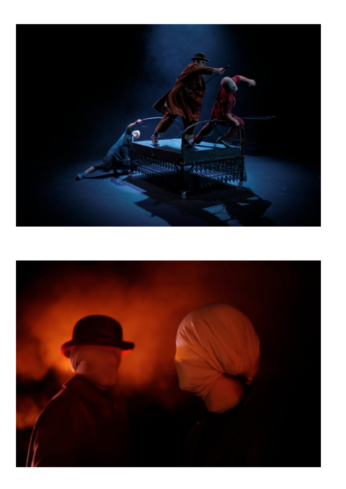

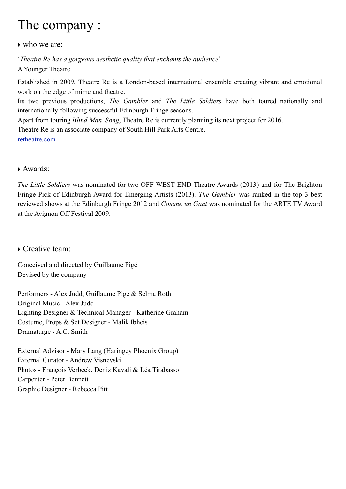### The company :

‣ who we are:

'*Theatre Re has a gorgeous aesthetic quality that enchants the audience*'

A Younger Theatre

Established in 2009, Theatre Re is a London-based international ensemble creating vibrant and emotional work on the edge of mime and theatre.

Its two previous productions, *The Gambler* and *The Little Soldiers* have both toured nationally and internationally following successful Edinburgh Fringe seasons.

Apart from touring *Blind Man' Song*, Theatre Re is currently planning its next project for 2016.

Theatre Re is an associate company of South Hill Park Arts Centre.

[retheatre.com](http://www.retheatre.com)

#### ‣ Awards:

*The Little Soldiers* was nominated for two OFF WEST END Theatre Awards (2013) and for The Brighton Fringe Pick of Edinburgh Award for Emerging Artists (2013). *The Gambler* was ranked in the top 3 best reviewed shows at the Edinburgh Fringe 2012 and *Comme un Gant* was nominated for the ARTE TV Award at the Avignon Off Festival 2009.

‣ Creative team:

Conceived and directed by Guillaume Pigé Devised by the company

Performers - Alex Judd, Guillaume Pigé & Selma Roth Original Music - Alex Judd Lighting Designer & Technical Manager - Katherine Graham Costume, Props & Set Designer - Malik Ibheis Dramaturge - A.C. Smith

External Advisor - Mary Lang (Haringey Phoenix Group) External Curator - Andrew Visnevski Photos - François Verbeek, Deniz Kavali & Léa Tirabasso Carpenter - Peter Bennett Graphic Designer - Rebecca Pitt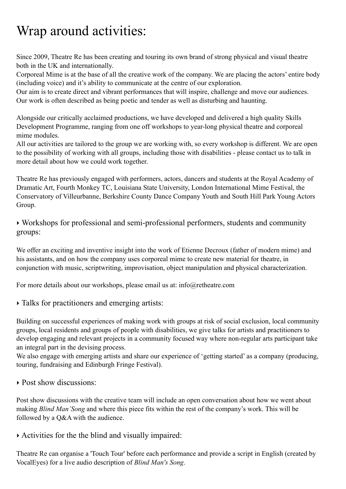# Wrap around activities:

Since 2009, Theatre Re has been creating and touring its own brand of strong physical and visual theatre both in the UK and internationally.

Corporeal Mime is at the base of all the creative work of the company. We are placing the actors' entire body (including voice) and it's ability to communicate at the centre of our exploration.

Our aim is to create direct and vibrant performances that will inspire, challenge and move our audiences. Our work is often described as being poetic and tender as well as disturbing and haunting.

Alongside our critically acclaimed productions, we have developed and delivered a high quality Skills Development Programme, ranging from one off workshops to year-long physical theatre and corporeal mime modules.

All our activities are tailored to the group we are working with, so every workshop is different. We are open to the possibility of working with all groups, including those with disabilities - please contact us to talk in more detail about how we could work together.

Theatre Re has previously engaged with performers, actors, dancers and students at the Royal Academy of Dramatic Art, Fourth Monkey TC, Louisiana State University, London International Mime Festival, the Conservatory of Villeurbanne, Berkshire County Dance Company Youth and South Hill Park Young Actors Group.

‣ Workshops for professional and semi-professional performers, students and community groups:

We offer an exciting and inventive insight into the work of Etienne Decroux (father of modern mime) and his assistants, and on how the company uses corporeal mime to create new material for theatre, in conjunction with music, scriptwriting, improvisation, object manipulation and physical characterization.

For more details about our workshops, please email us at: info@retheatre.com

‣ Talks for practitioners and emerging artists:

Building on successful experiences of making work with groups at risk of social exclusion, local community groups, local residents and groups of people with disabilities, we give talks for artists and practitioners to develop engaging and relevant projects in a community focused way where non-regular arts participant take an integral part in the devising process.

We also engage with emerging artists and share our experience of 'getting started' as a company (producing, touring, fundraising and Edinburgh Fringe Festival).

‣ Post show discussions:

Post show discussions with the creative team will include an open conversation about how we went about making *Blind Man'Song* and where this piece fits within the rest of the company's work. This will be followed by a Q&A with the audience.

‣ Activities for the the blind and visually impaired:

Theatre Re can organise a 'Touch Tour' before each performance and provide a script in English (created by VocalEyes) for a live audio description of *Blind Man's Song*.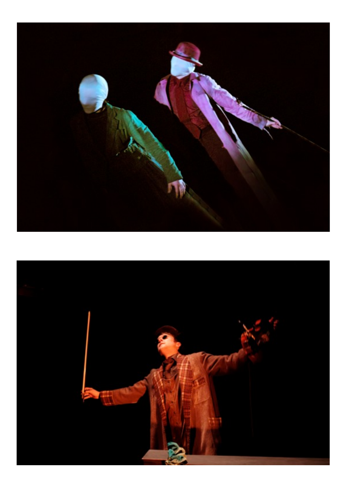

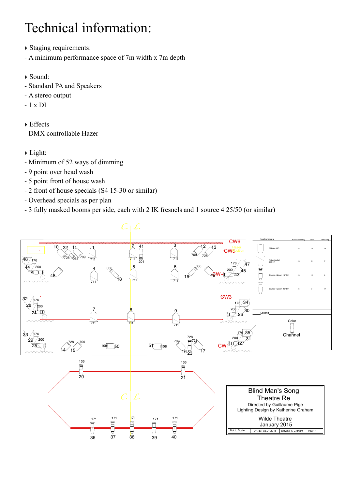# Technical information:

- ‣ Staging requirements:
- A minimum performance space of 7m width x 7m depth
- ‣ Sound:
- Standard PA and Speakers
- A stereo output
- 1 x DI
- ‣ Effects
- DMX controllable Hazer
- $\blacktriangleright$  Light:
- Minimum of 52 ways of dimming
- 9 point over head wash
- 5 point front of house wash
- 2 front of house specials (S4 15-30 or similar)
- Overhead specials as per plan
- 3 fully masked booms per side, each with 2 IK fresnels and 1 source 4 25/50 (or similar)